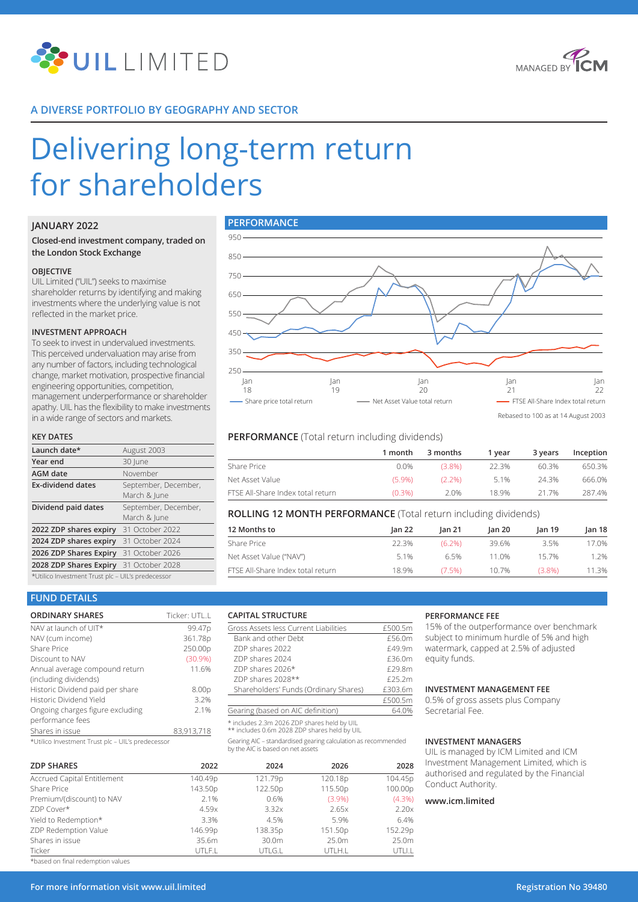



# **A DIVERSE PORTFOLIO BY GEOGRAPHY AND SECTOR**

# Delivering long-term return for shareholders

## **JANUARY 2022**

## **Closed-end investment company, traded on the London Stock Exchange**

#### **OBJECTIVE**

UIL Limited ("UIL") seeks to maximise shareholder returns by identifying and making investments where the underlying value is not reflected in the market price.

#### **INVESTMENT APPROACH**

To seek to invest in undervalued investments. This perceived undervaluation may arise from any number of factors, including technological change, market motivation, prospective financial engineering opportunities, competition, management underperformance or shareholder apathy. UIL has the flexibility to make investments in a wide range of sectors and markets.

#### **KEY DATES**

| Launch date*                                      | August 2003                          |  |  |  |
|---------------------------------------------------|--------------------------------------|--|--|--|
| Year end                                          | 30 June                              |  |  |  |
| <b>AGM</b> date                                   | November                             |  |  |  |
| <b>Ex-dividend dates</b>                          | September, December,<br>March & June |  |  |  |
| Dividend paid dates                               | September, December,<br>March & lune |  |  |  |
| 2022 ZDP shares expiry 31 October 2022            |                                      |  |  |  |
| 2024 ZDP shares expiry 31 October 2024            |                                      |  |  |  |
| 2026 ZDP Shares Expiry 31 October 2026            |                                      |  |  |  |
| 2028 ZDP Shares Expiry 31 October 2028            |                                      |  |  |  |
| *Utilico Investment Trust plc - UIL's predecessor |                                      |  |  |  |



# **PERFORMANCE** (Total return including dividends)

|                                   | 1 month   | 3 months  | 1 vear | 3 years | Inception |
|-----------------------------------|-----------|-----------|--------|---------|-----------|
| Share Price                       | 0.0%      | $(3.8\%)$ | 22.3%  | 60.3%   | 650.3%    |
| Net Asset Value                   | $(5.9\%)$ | $(2.2\%)$ | 51%    | 24 3%   | 666.0%    |
| FTSE All-Share Index total return | $(0.3\%)$ | 2.0%      | 189%   | 21 7%   | 287.4%    |

## **ROLLING 12 MONTH PERFORMANCE** (Total return including dividends)

| 12 Months to                      | lan 22 | lan 21    | lan 20 | lan 19 | Jan 18 |
|-----------------------------------|--------|-----------|--------|--------|--------|
| Share Price                       | 22.3%  | $(6.2\%)$ | 39.6%  | 3.5%   | 17.0%  |
| Net Asset Value ("NAV")           | 5.1%   | 65%       | 11 0%  | 157%   | 1.2%   |
| FTSE All-Share Index total return | 18.9%  | $(7.5\%)$ | 10.7%  | (3.8%) | 11.3%  |

 $rac{£500.5m}{64.0%}$ 

# **FUND DETAILS**

| <b>ORDINARY SHARES</b>           | Ticker: UTL.L     |
|----------------------------------|-------------------|
| NAV at launch of UIT*            | 99.47p            |
| NAV (cum income)                 | 361.78p           |
| <b>Share Price</b>               | 250.00p           |
| Discount to NAV                  | (30.9%            |
| Annual average compound return   | 11.6%             |
| (including dividends)            |                   |
| Historic Dividend paid per share | 8.00 <sub>p</sub> |
| Historic Dividend Yield          | 3.2%              |
| Ongoing charges figure excluding | 2.1%              |
| performance fees                 |                   |
| Shares in issue                  | 83,913,718        |
|                                  |                   |

\*Utilico Investment Trust plc – UIL's predecessor

| <b>ZDP SHARES</b>           | 2022    | 2024    | 2026      | 2028      |
|-----------------------------|---------|---------|-----------|-----------|
| Accrued Capital Entitlement | 140.49p | 121.79p | 120.18p   | 104.45p   |
| Share Price                 | 143.50p | 122.50p | 115.50p   | 100.00p   |
| Premium/(discount) to NAV   | 2.1%    | 0.6%    | $(3.9\%)$ | $(4.3\%)$ |
| ZDP Cover*                  | 4.59x   | 3.32x   | 2.65x     | 2.20x     |
| Yield to Redemption*        | 3.3%    | 4.5%    | 5.9%      | 6.4%      |
| ZDP Redemption Value        | 146.99p | 138.35p | 151.50p   | 152.29p   |
| Shares in issue             | 35.6m   | 30.0m   | 25.0m     | 25.0m     |
| Ticker                      | UTLF.L  | UTLG.L  | UTLH.L    | UTLI.L    |

**CAPITAL STRUCTURE**

Bank and other Debt

Gross Assets less Current Liabilities  $\frac{2500.5m}{6000}$ 

ZDP shares 2022 £49.9m ZDP shares 2024 **E36.0m** ZDP shares 2026\* <br>
£29.8m ZDP shares 2028\*\* £25.2m

Gearing AIC – standardised gearing calculation as recommended

Shareholders' Funds (Ordinary Shares)

Gearing (based on AIC definition) \* includes 2.3m 2026 ZDP shares held by UIL \*\* includes 0.6m 2028 ZDP shares held by UIL

by the AIC is based on net assets

#### **PERFORMANCE FEE**

15% of the outperformance over benchmark subject to minimum hurdle of 5% and high watermark, capped at 2.5% of adjusted equity funds.

## **INVESTMENT MANAGEMENT FEE**

0.5% of gross assets plus Company Secretarial Fee.

#### **INVESTMENT MANAGERS**

UIL is managed by ICM Limited and ICM nvestment Management Limited, which is uthorised and regulated by the Financial **Conduct Authority.** 

## **www.icm.limited**

\*based on final redemption values